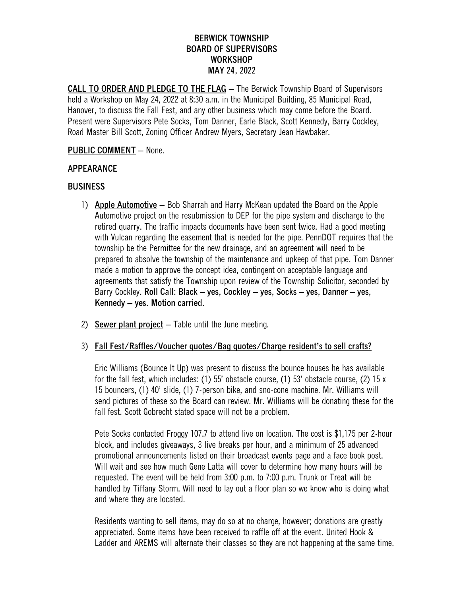# **BERWICK TOWNSHIP BOARD OF SUPERVISORS WORKSHOP MAY 24, 2022**

**CALL TO ORDER AND PLEDGE TO THE FLAG** – The Berwick Township Board of Supervisors held a Workshop on May 24, 2022 at 8:30 a.m. in the Municipal Building, 85 Municipal Road, Hanover, to discuss the Fall Fest, and any other business which may come before the Board. Present were Supervisors Pete Socks, Tom Danner, Earle Black, Scott Kennedy, Barry Cockley, Road Master Bill Scott, Zoning Officer Andrew Myers, Secretary Jean Hawbaker.

### **PUBLIC COMMENT** – None.

# **APPEARANCE**

# **BUSINESS**

- 1) **Apple Automotive** Bob Sharrah and Harry McKean updated the Board on the Apple Automotive project on the resubmission to DEP for the pipe system and discharge to the retired quarry. The traffic impacts documents have been sent twice. Had a good meeting with Vulcan regarding the easement that is needed for the pipe. PennDOT requires that the township be the Permittee for the new drainage, and an agreement will need to be prepared to absolve the township of the maintenance and upkeep of that pipe. Tom Danner made a motion to approve the concept idea, contingent on acceptable language and agreements that satisfy the Township upon review of the Township Solicitor, seconded by Barry Cockley. **Roll Call: Black – yes, Cockley – yes, Socks – yes, Danner – yes, Kennedy – yes. Motion carried.**
- 2) **Sewer plant project** Table until the June meeting.

### 3) **Fall Fest/Raffles/Voucher quotes/Bag quotes/Charge resident's to sell crafts?**

Eric Williams (Bounce It Up) was present to discuss the bounce houses he has available for the fall fest, which includes: (1) 55' obstacle course, (1) 53' obstacle course, (2) 15 x 15 bouncers, (1) 40' slide, (1) 7-person bike, and sno-cone machine. Mr. Williams will send pictures of these so the Board can review. Mr. Williams will be donating these for the fall fest. Scott Gobrecht stated space will not be a problem.

Pete Socks contacted Froggy 107.7 to attend live on location. The cost is \$1,175 per 2-hour block, and includes giveaways, 3 live breaks per hour, and a minimum of 25 advanced promotional announcements listed on their broadcast events page and a face book post. Will wait and see how much Gene Latta will cover to determine how many hours will be requested. The event will be held from 3:00 p.m. to 7:00 p.m. Trunk or Treat will be handled by Tiffany Storm. Will need to lay out a floor plan so we know who is doing what and where they are located.

Residents wanting to sell items, may do so at no charge, however; donations are greatly appreciated. Some items have been received to raffle off at the event. United Hook & Ladder and AREMS will alternate their classes so they are not happening at the same time.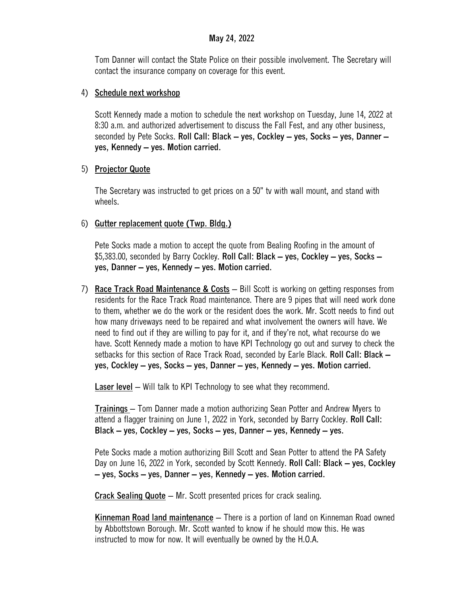### **May 24, 2022**

Tom Danner will contact the State Police on their possible involvement. The Secretary will contact the insurance company on coverage for this event.

### 4) **Schedule next workshop**

Scott Kennedy made a motion to schedule the next workshop on Tuesday, June 14, 2022 at 8:30 a.m. and authorized advertisement to discuss the Fall Fest, and any other business, seconded by Pete Socks. **Roll Call: Black – yes, Cockley – yes, Socks – yes, Danner – yes, Kennedy – yes. Motion carried.**

# 5) **Projector Quote**

The Secretary was instructed to get prices on a 50" tv with wall mount, and stand with wheels.

# 6) **Gutter replacement quote (Twp. Bldg.)**

Pete Socks made a motion to accept the quote from Bealing Roofing in the amount of \$5,383.00, seconded by Barry Cockley. **Roll Call: Black – yes, Cockley – yes, Socks – yes, Danner – yes, Kennedy – yes. Motion carried.**

7) **Race Track Road Maintenance & Costs** – Bill Scott is working on getting responses from residents for the Race Track Road maintenance. There are 9 pipes that will need work done to them, whether we do the work or the resident does the work. Mr. Scott needs to find out how many driveways need to be repaired and what involvement the owners will have. We need to find out if they are willing to pay for it, and if they're not, what recourse do we have. Scott Kennedy made a motion to have KPI Technology go out and survey to check the setbacks for this section of Race Track Road, seconded by Earle Black. **Roll Call: Black – yes, Cockley – yes, Socks – yes, Danner – yes, Kennedy – yes. Motion carried.**

**Laser level** – Will talk to KPI Technology to see what they recommend.

**Trainings** – Tom Danner made a motion authorizing Sean Potter and Andrew Myers to attend a flagger training on June 1, 2022 in York, seconded by Barry Cockley. **Roll Call: Black – yes, Cockley – yes, Socks – yes, Danner – yes, Kennedy – yes.**

Pete Socks made a motion authorizing Bill Scott and Sean Potter to attend the PA Safety Day on June 16, 2022 in York, seconded by Scott Kennedy. **Roll Call: Black – yes, Cockley – yes, Socks – yes, Danner – yes, Kennedy – yes. Motion carried.**

**Crack Sealing Quote** – Mr. Scott presented prices for crack sealing.

**Kinneman Road land maintenance** – There is a portion of land on Kinneman Road owned by Abbottstown Borough. Mr. Scott wanted to know if he should mow this. He was instructed to mow for now. It will eventually be owned by the H.O.A.